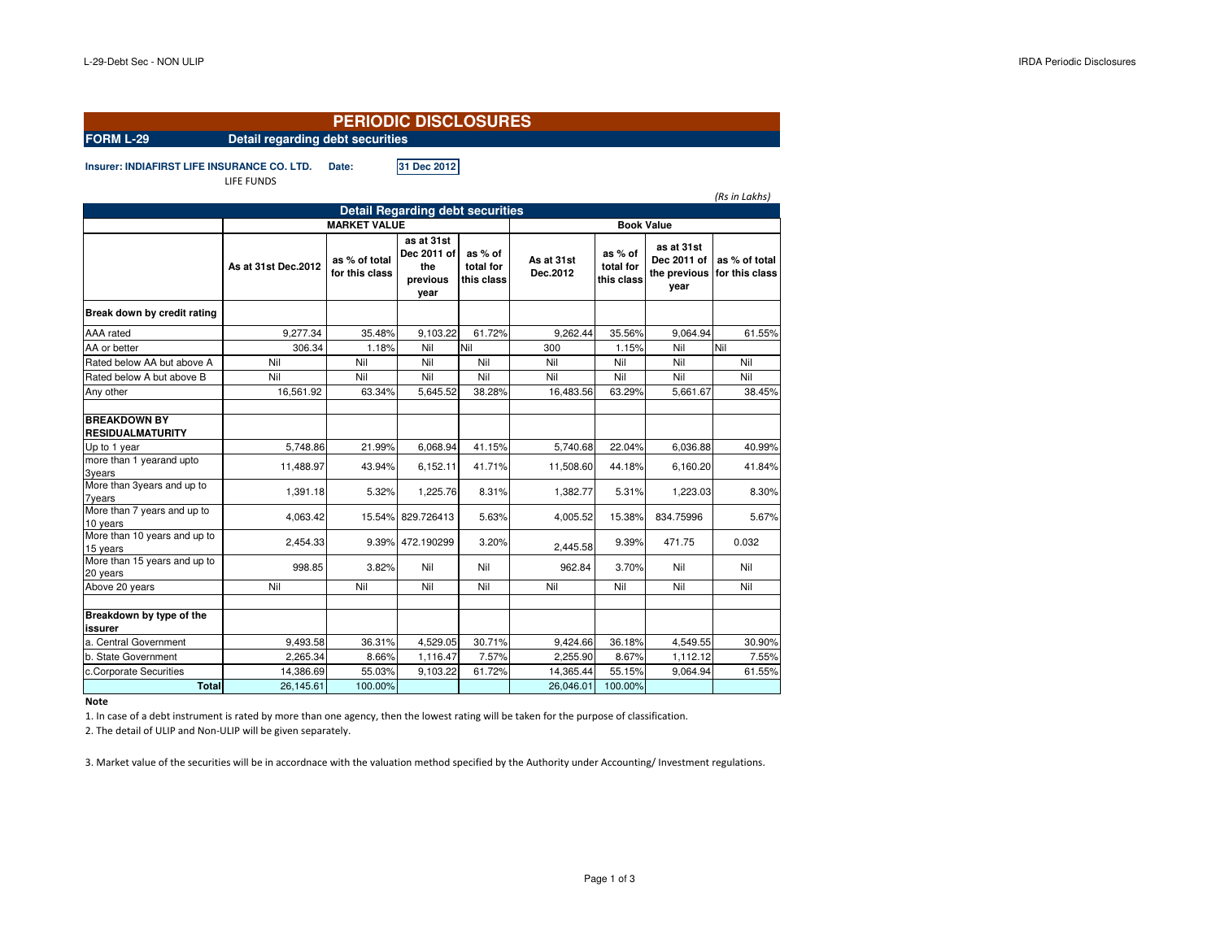| <b>PERIODIC DISCLOSURES</b>                        |                                  |                                 |                                                      |                                    |                        |                                    |                                                   |                                 |  |  |
|----------------------------------------------------|----------------------------------|---------------------------------|------------------------------------------------------|------------------------------------|------------------------|------------------------------------|---------------------------------------------------|---------------------------------|--|--|
| <b>FORM L-29</b>                                   | Detail regarding debt securities |                                 |                                                      |                                    |                        |                                    |                                                   |                                 |  |  |
| <b>Insurer: INDIAFIRST LIFE INSURANCE CO. LTD.</b> | LIFE FUNDS                       | Date:                           | 31 Dec 2012                                          |                                    |                        |                                    |                                                   | (Rs in Lakhs)                   |  |  |
|                                                    |                                  |                                 | <b>Detail Regarding debt securities</b>              |                                    |                        |                                    |                                                   |                                 |  |  |
|                                                    | <b>MARKET VALUE</b>              |                                 |                                                      |                                    | <b>Book Value</b>      |                                    |                                                   |                                 |  |  |
|                                                    | As at 31st Dec.2012              | as % of total<br>for this class | as at 31st<br>Dec 2011 of<br>the<br>previous<br>year | as % of<br>total for<br>this class | As at 31st<br>Dec.2012 | as % of<br>total for<br>this class | as at 31st<br>Dec 2011 of<br>the previous<br>year | as % of total<br>for this class |  |  |
| Break down by credit rating                        |                                  |                                 |                                                      |                                    |                        |                                    |                                                   |                                 |  |  |
| AAA rated                                          | 9,277.34                         | 35.48%                          | 9.103.22                                             | 61.72%                             | 9.262.44               | 35.56%                             | 9.064.94                                          | 61.55%                          |  |  |
| AA or better                                       | 306.34                           | 1.18%                           | Nil                                                  | Nil                                | 300                    | 1.15%                              | Nil                                               | Nil                             |  |  |
| Rated below AA but above A                         | Nil                              | Nil                             | Nil                                                  | Nil                                | Nil                    | Nil                                | Nil                                               | Nil                             |  |  |
| Rated below A but above B                          | Nil                              | Nil                             | Nil                                                  | Nil                                | Nil                    | Nil                                | Nil                                               | Nil                             |  |  |
| Any other                                          | 16,561.92                        | 63.34%                          | 5.645.52                                             | 38.28%                             | 16,483.56              | 63.29%                             | 5.661.67                                          | 38.45%                          |  |  |
| <b>BREAKDOWN BY</b><br><b>RESIDUALMATURITY</b>     |                                  |                                 |                                                      |                                    |                        |                                    |                                                   |                                 |  |  |
| Up to 1 year                                       | 5.748.86                         | 21.99%                          | 6,068.94                                             | 41.15%                             | 5,740.68               | 22.04%                             | 6,036.88                                          | 40.99%                          |  |  |
| more than 1 yearand upto<br>3years                 | 11,488.97                        | 43.94%                          | 6.152.11                                             | 41.71%                             | 11,508.60              | 44.18%                             | 6.160.20                                          | 41.84%                          |  |  |
| More than 3years and up to<br>7years               | 1,391.18                         | 5.32%                           | 1,225.76                                             | 8.31%                              | 1,382.77               | 5.31%                              | 1,223.03                                          | 8.30%                           |  |  |
| More than 7 years and up to<br>10 years            | 4.063.42                         |                                 | 15.54% 829.726413                                    | 5.63%                              | 4.005.52               | 15.38%                             | 834.75996                                         | 5.67%                           |  |  |
| More than 10 years and up to<br>15 years           | 2,454.33                         |                                 | 9.39% 472.190299                                     | 3.20%                              | 2,445.58               | 9.39%                              | 471.75                                            | 0.032                           |  |  |
| More than 15 years and up to<br>20 years           | 998.85                           | 3.82%                           | Nil                                                  | Nil                                | 962.84                 | 3.70%                              | Nil                                               | Nil                             |  |  |
| Above 20 years                                     | Nil                              | Nil                             | Nil                                                  | Nil                                | Nil                    | Nil                                | Nil                                               | Nil                             |  |  |
| Breakdown by type of the<br>issurer                |                                  |                                 |                                                      |                                    |                        |                                    |                                                   |                                 |  |  |
| a. Central Government                              | 9,493.58                         | 36.31%                          | 4,529.05                                             | 30.71%                             | 9,424.66               | 36.18%                             | 4,549.55                                          | 30.90%                          |  |  |
| b. State Government                                | 2,265.34                         | 8.66%                           | 1,116.47                                             | 7.57%                              | 2,255.90               | 8.67%                              | 1,112.12                                          | 7.55%                           |  |  |
| c.Corporate Securities                             | 14,386.69                        | 55.03%                          | 9.103.22                                             | 61.72%                             | 14.365.44              | 55.15%                             | 9.064.94                                          | 61.55%                          |  |  |
| <b>Total</b>                                       | 26,145.61                        | 100.00%                         |                                                      |                                    | 26,046.01              | 100.00%                            |                                                   |                                 |  |  |

**Note**

1. In case of a debt instrument is rated by more than one agency, then the lowest rating will be taken for the purpose of classification.

2. The detail of ULIP and Non-ULIP will be given separately.

3. Market value of the securities will be in accordnace with the valuation method specified by the Authority under Accounting/ Investment regulations.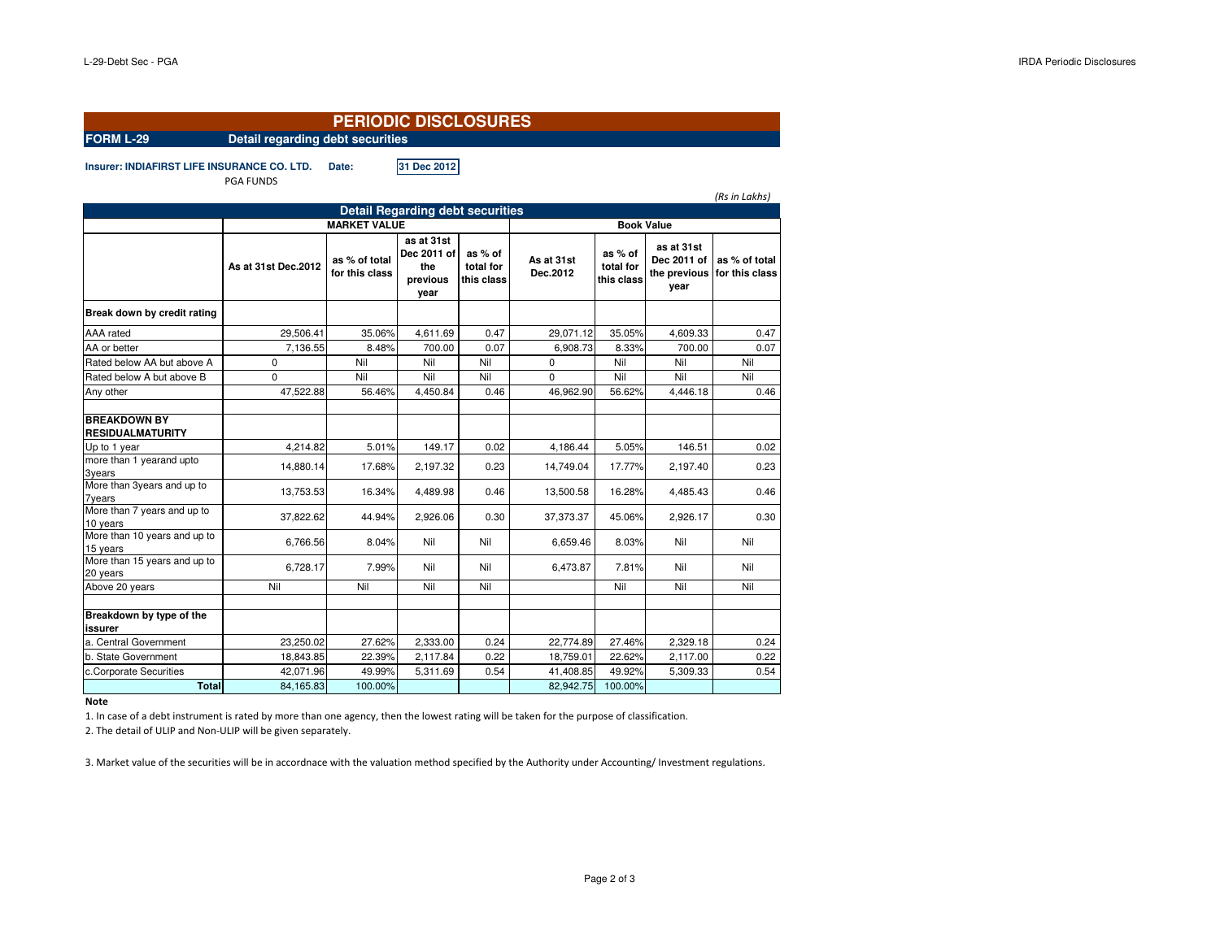| <b>PERIODIC DISCLOSURES</b>                        |                                  |                                 |                                                      |                                    |                        |                                    |                                   |                                              |  |
|----------------------------------------------------|----------------------------------|---------------------------------|------------------------------------------------------|------------------------------------|------------------------|------------------------------------|-----------------------------------|----------------------------------------------|--|
| <b>FORM L-29</b>                                   | Detail regarding debt securities |                                 |                                                      |                                    |                        |                                    |                                   |                                              |  |
| <b>Insurer: INDIAFIRST LIFE INSURANCE CO. LTD.</b> | <b>PGA FUNDS</b>                 | Date:                           | 31 Dec 2012                                          |                                    |                        |                                    |                                   | (Rs in Lakhs)                                |  |
|                                                    |                                  |                                 | <b>Detail Regarding debt securities</b>              |                                    |                        |                                    |                                   |                                              |  |
|                                                    | <b>MARKET VALUE</b>              | <b>Book Value</b>               |                                                      |                                    |                        |                                    |                                   |                                              |  |
|                                                    | As at 31st Dec.2012              | as % of total<br>for this class | as at 31st<br>Dec 2011 of<br>the<br>previous<br>year | as % of<br>total for<br>this class | As at 31st<br>Dec.2012 | as % of<br>total for<br>this class | as at 31st<br>Dec 2011 of<br>year | as % of total<br>the previous for this class |  |
| Break down by credit rating                        |                                  |                                 |                                                      |                                    |                        |                                    |                                   |                                              |  |
| AAA rated                                          | 29,506.41                        | 35.06%                          | 4,611.69                                             | 0.47                               | 29,071.12              | 35.05%                             | 4,609.33                          | 0.47                                         |  |
| AA or better                                       | 7,136.55                         | 8.48%                           | 700.00                                               | 0.07                               | 6,908.73               | 8.33%                              | 700.00                            | 0.07                                         |  |
| Rated below AA but above A                         | $\mathbf 0$                      | Nil                             | Nil                                                  | Nil                                | 0                      | Nil                                | Nil                               | Nil                                          |  |
| Rated below A but above B                          | $\Omega$                         | Nil                             | Nil                                                  | Nil                                | $\Omega$               | Nil                                | Nil                               | Nil                                          |  |
| Any other                                          | 47,522.88                        | 56.46%                          | 4,450.84                                             | 0.46                               | 46,962.90              | 56.62%                             | 4,446.18                          | 0.46                                         |  |
| <b>BREAKDOWN BY</b><br><b>RESIDUALMATURITY</b>     |                                  |                                 |                                                      |                                    |                        |                                    |                                   |                                              |  |
| Up to 1 year                                       | 4,214.82                         | 5.01%                           | 149.17                                               | 0.02                               | 4,186.44               | 5.05%                              | 146.51                            | 0.02                                         |  |
| more than 1 yearand upto<br>3years                 | 14,880.14                        | 17.68%                          | 2,197.32                                             | 0.23                               | 14,749.04              | 17.77%                             | 2,197.40                          | 0.23                                         |  |
| More than 3years and up to<br><b>7years</b>        | 13,753.53                        | 16.34%                          | 4,489.98                                             | 0.46                               | 13,500.58              | 16.28%                             | 4,485.43                          | 0.46                                         |  |
| More than 7 years and up to<br>10 years            | 37,822.62                        | 44.94%                          | 2,926.06                                             | 0.30                               | 37,373.37              | 45.06%                             | 2,926.17                          | 0.30                                         |  |
| More than 10 years and up to<br>15 years           | 6,766.56                         | 8.04%                           | Nil                                                  | Nil                                | 6,659.46               | 8.03%                              | Nil                               | Nil                                          |  |
| More than 15 years and up to<br>20 years           | 6.728.17                         | 7.99%                           | Nil                                                  | Nil                                | 6.473.87               | 7.81%                              | Nil                               | Nil                                          |  |
| Above 20 years                                     | Nil                              | Nil                             | Nil                                                  | Nil                                |                        | Nil                                | Nil                               | Nil                                          |  |
| Breakdown by type of the<br>issurer                |                                  |                                 |                                                      |                                    |                        |                                    |                                   |                                              |  |
| a. Central Government                              | 23.250.02                        | 27.62%                          | 2,333.00                                             | 0.24                               | 22,774.89              | 27.46%                             | 2,329.18                          | 0.24                                         |  |
| b. State Government                                | 18,843.85                        | 22.39%                          | 2,117.84                                             | 0.22                               | 18,759.01              | 22.62%                             | 2,117.00                          | 0.22                                         |  |
| c.Corporate Securities                             | 42,071.96                        | 49.99%                          | 5,311.69                                             | 0.54                               | 41,408.85              | 49.92%                             | 5,309.33                          | 0.54                                         |  |
| <b>Total</b>                                       | 84,165.83                        | 100.00%                         |                                                      |                                    | 82,942.75              | 100.00%                            |                                   |                                              |  |

**Note**

1. In case of a debt instrument is rated by more than one agency, then the lowest rating will be taken for the purpose of classification.

2. The detail of ULIP and Non-ULIP will be given separately.

3. Market value of the securities will be in accordnace with the valuation method specified by the Authority under Accounting/ Investment regulations.